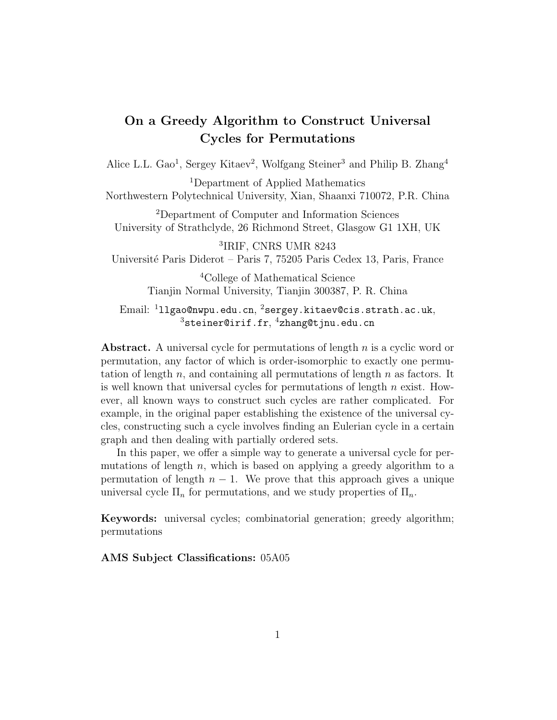## On a Greedy Algorithm to Construct Universal Cycles for Permutations

Alice L.L. Gao<sup>1</sup>, Sergey Kitaev<sup>2</sup>, Wolfgang Steiner<sup>3</sup> and Philip B. Zhang<sup>4</sup>

<sup>1</sup>Department of Applied Mathematics Northwestern Polytechnical University, Xian, Shaanxi 710072, P.R. China

<sup>2</sup>Department of Computer and Information Sciences University of Strathclyde, 26 Richmond Street, Glasgow G1 1XH, UK

3 IRIF, CNRS UMR 8243 Université Paris Diderot – Paris 7, 75205 Paris Cedex 13, Paris, France

> <sup>4</sup>College of Mathematical Science Tianjin Normal University, Tianjin 300387, P. R. China

 $\rm{Email:~^111g}$ ao@nwpu.edu.cn, $\rm{~^2serg}$ ey.kitaev@cis.strath.ac.uk,  $^3$ steiner@irif.fr, $^4$ zhang@tjnu.edu.cn

Abstract. A universal cycle for permutations of length  $n$  is a cyclic word or permutation, any factor of which is order-isomorphic to exactly one permutation of length  $n$ , and containing all permutations of length  $n$  as factors. It is well known that universal cycles for permutations of length  $n$  exist. However, all known ways to construct such cycles are rather complicated. For example, in the original paper establishing the existence of the universal cycles, constructing such a cycle involves finding an Eulerian cycle in a certain graph and then dealing with partially ordered sets.

In this paper, we offer a simple way to generate a universal cycle for permutations of length  $n$ , which is based on applying a greedy algorithm to a permutation of length  $n - 1$ . We prove that this approach gives a unique universal cycle  $\Pi_n$  for permutations, and we study properties of  $\Pi_n$ .

Keywords: universal cycles; combinatorial generation; greedy algorithm; permutations

AMS Subject Classifications: 05A05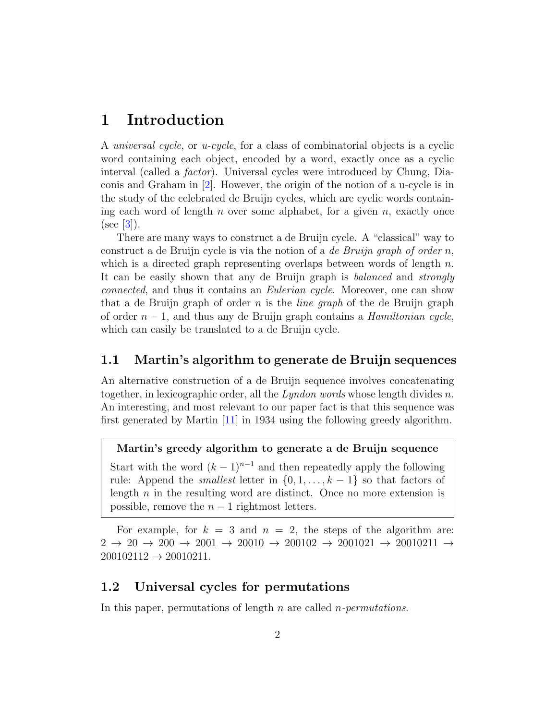## 1 Introduction

A universal cycle, or u-cycle, for a class of combinatorial objects is a cyclic word containing each object, encoded by a word, exactly once as a cyclic interval (called a factor). Universal cycles were introduced by Chung, Diaconis and Graham in [\[2\]](#page-13-0). However, the origin of the notion of a u-cycle is in the study of the celebrated de Bruijn cycles, which are cyclic words containing each word of length n over some alphabet, for a given n, exactly once  $(see [3]).$  $(see [3]).$  $(see [3]).$ 

There are many ways to construct a de Bruijn cycle. A "classical" way to construct a de Bruijn cycle is via the notion of a *de Bruijn graph of order n*, which is a directed graph representing overlaps between words of length  $n$ . It can be easily shown that any de Bruijn graph is balanced and strongly connected, and thus it contains an Eulerian cycle. Moreover, one can show that a de Bruijn graph of order n is the *line graph* of the de Bruijn graph of order  $n-1$ , and thus any de Bruijn graph contains a *Hamiltonian cycle*, which can easily be translated to a de Bruijn cycle.

#### 1.1 Martin's algorithm to generate de Bruijn sequences

An alternative construction of a de Bruijn sequence involves concatenating together, in lexicographic order, all the  $Lyndon$  words whose length divides n. An interesting, and most relevant to our paper fact is that this sequence was first generated by Martin [\[11\]](#page-13-2) in 1934 using the following greedy algorithm.

#### Martin's greedy algorithm to generate a de Bruijn sequence

Start with the word  $(k-1)^{n-1}$  and then repeatedly apply the following rule: Append the *smallest* letter in  $\{0, 1, \ldots, k-1\}$  so that factors of length  $n$  in the resulting word are distinct. Once no more extension is possible, remove the  $n-1$  rightmost letters.

For example, for  $k = 3$  and  $n = 2$ , the steps of the algorithm are:  $2 \rightarrow 20 \rightarrow 200 \rightarrow 2001 \rightarrow 20010 \rightarrow 200102 \rightarrow 2001021 \rightarrow 20010211 \rightarrow$  $200102112 \rightarrow 20010211.$ 

#### 1.2 Universal cycles for permutations

In this paper, permutations of length  $n$  are called *n*-permutations.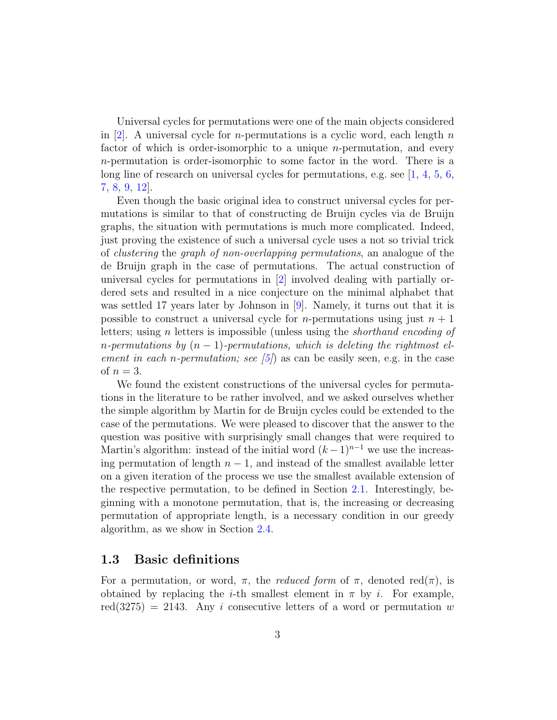Universal cycles for permutations were one of the main objects considered in [\[2\]](#page-13-0). A universal cycle for *n*-permutations is a cyclic word, each length *n* factor of which is order-isomorphic to a unique n-permutation, and every n-permutation is order-isomorphic to some factor in the word. There is a long line of research on universal cycles for permutations, e.g. see  $[1, 4, 5, 6,$  $[1, 4, 5, 6,$  $[1, 4, 5, 6,$  $[1, 4, 5, 6,$  $[1, 4, 5, 6,$  $[1, 4, 5, 6,$  $[1, 4, 5, 6,$ [7,](#page-13-7) [8,](#page-13-8) [9,](#page-13-9) [12\]](#page-13-10).

Even though the basic original idea to construct universal cycles for permutations is similar to that of constructing de Bruijn cycles via de Bruijn graphs, the situation with permutations is much more complicated. Indeed, just proving the existence of such a universal cycle uses a not so trivial trick of clustering the graph of non-overlapping permutations, an analogue of the de Bruijn graph in the case of permutations. The actual construction of universal cycles for permutations in [\[2\]](#page-13-0) involved dealing with partially ordered sets and resulted in a nice conjecture on the minimal alphabet that was settled 17 years later by Johnson in [\[9\]](#page-13-9). Namely, it turns out that it is possible to construct a universal cycle for *n*-permutations using just  $n + 1$ letters; using n letters is impossible (unless using the shorthand encoding of n-permutations by  $(n-1)$ -permutations, which is deleting the rightmost element in each n-permutation; see  $(5)$  as can be easily seen, e.g. in the case of  $n=3$ .

We found the existent constructions of the universal cycles for permutations in the literature to be rather involved, and we asked ourselves whether the simple algorithm by Martin for de Bruijn cycles could be extended to the case of the permutations. We were pleased to discover that the answer to the question was positive with surprisingly small changes that were required to Martin's algorithm: instead of the initial word  $(k-1)^{n-1}$  we use the increasing permutation of length  $n-1$ , and instead of the smallest available letter on a given iteration of the process we use the smallest available extension of the respective permutation, to be defined in Section [2.1.](#page-3-0) Interestingly, beginning with a monotone permutation, that is, the increasing or decreasing permutation of appropriate length, is a necessary condition in our greedy algorithm, as we show in Section [2.4.](#page-7-0)

#### 1.3 Basic definitions

For a permutation, or word,  $\pi$ , the *reduced form* of  $\pi$ , denoted red $(\pi)$ , is obtained by replacing the *i*-th smallest element in  $\pi$  by *i*. For example,  $red(3275) = 2143$ . Any i consecutive letters of a word or permutation w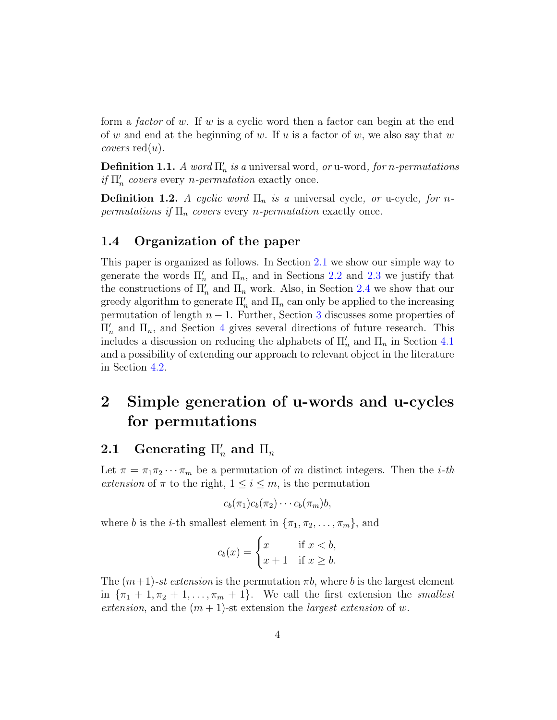form a factor of w. If w is a cyclic word then a factor can begin at the end of w and end at the beginning of w. If u is a factor of w, we also say that w *covers*  $red(u)$ .

**Definition 1.1.** A word  $\Pi'_n$  is a universal word, or u-word, for n-permutations if  $\Pi_n'$  covers every *n*-permutation exactly once.

**Definition 1.2.** A cyclic word  $\Pi_n$  is a universal cycle, or u-cycle, for npermutations if  $\Pi_n$  covers every *n*-permutation exactly once.

#### 1.4 Organization of the paper

This paper is organized as follows. In Section [2.1](#page-3-0) we show our simple way to generate the words  $\Pi'_n$  and  $\Pi_n$ , and in Sections [2.2](#page-5-0) and [2.3](#page-6-0) we justify that the constructions of  $\Pi_n'$  and  $\Pi_n$  work. Also, in Section [2.4](#page-7-0) we show that our greedy algorithm to generate  $\Pi_n'$  and  $\Pi_n$  can only be applied to the increasing permutation of length  $n-1$ . Further, Section [3](#page-7-1) discusses some properties of  $\Pi_n'$  and  $\Pi_n$ , and Section [4](#page-9-0) gives several directions of future research. This includes a discussion on reducing the alphabets of  $\Pi'_n$  and  $\Pi_n$  in Section [4.1](#page-9-1) and a possibility of extending our approach to relevant object in the literature in Section [4.2.](#page-11-0)

# 2 Simple generation of u-words and u-cycles for permutations

# <span id="page-3-0"></span> ${\bf 2.1}\quad$  Generating  $\Pi_n'$  and  $\Pi_n$

Let  $\pi = \pi_1 \pi_2 \cdots \pi_m$  be a permutation of m distinct integers. Then the *i*-th extension of  $\pi$  to the right,  $1 \leq i \leq m$ , is the permutation

$$
c_b(\pi_1)c_b(\pi_2)\cdots c_b(\pi_m)b,
$$

where b is the *i*-th smallest element in  $\{\pi_1, \pi_2, \ldots, \pi_m\}$ , and

$$
c_b(x) = \begin{cases} x & \text{if } x < b, \\ x+1 & \text{if } x \ge b. \end{cases}
$$

The  $(m+1)$ -st extension is the permutation  $\pi b$ , where b is the largest element in  ${\lbrace \pi_1 + 1, \pi_2 + 1, \ldots, \pi_m + 1 \rbrace}$ . We call the first extension the *smallest* extension, and the  $(m + 1)$ -st extension the *largest extension* of w.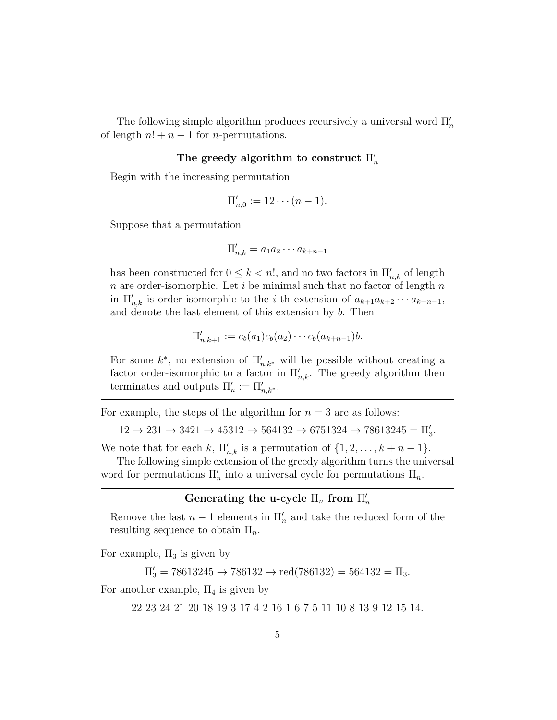The following simple algorithm produces recursively a universal word  $\Pi_n'$ of length  $n! + n - 1$  for *n*-permutations.

### The greedy algorithm to construct  $\Pi'_n$

Begin with the increasing permutation

$$
\Pi'_{n,0} := 12 \cdots (n-1).
$$

Suppose that a permutation

$$
\Pi'_{n,k} = a_1 a_2 \cdots a_{k+n-1}
$$

has been constructed for  $0 \leq k < n!$ , and no two factors in  $\prod'_{n,k}$  of length  $n$  are order-isomorphic. Let  $i$  be minimal such that no factor of length  $n$ in  $\Pi_{n,k}'$  is order-isomorphic to the *i*-th extension of  $a_{k+1}a_{k+2}\cdots a_{k+n-1}$ , and denote the last element of this extension by b. Then

$$
\Pi'_{n,k+1} := c_b(a_1)c_b(a_2)\cdots c_b(a_{k+n-1})b.
$$

For some  $k^*$ , no extension of  $\Pi_{n,k^*}'$  will be possible without creating a factor order-isomorphic to a factor in  $\Pi_{n,k}'$ . The greedy algorithm then terminates and outputs  $\Pi'_n := \Pi'_{n,k^*}.$ 

For example, the steps of the algorithm for  $n = 3$  are as follows:

 $12 \rightarrow 231 \rightarrow 3421 \rightarrow 45312 \rightarrow 564132 \rightarrow 6751324 \rightarrow 78613245 = \Pi_3'.$ 

We note that for each k,  $\Pi'_{n,k}$  is a permutation of  $\{1, 2, \ldots, k+n-1\}$ .

The following simple extension of the greedy algorithm turns the universal word for permutations  $\Pi_n'$  into a universal cycle for permutations  $\Pi_n$ .

### Generating the u-cycle  $\Pi_n$  from  $\Pi'_n$

Remove the last  $n-1$  elements in  $\Pi'_n$  and take the reduced form of the resulting sequence to obtain  $\Pi_n$ .

For example,  $\Pi_3$  is given by

 $\Pi'_{3} = 78613245 \rightarrow 786132 \rightarrow \text{red}(786132) = 564132 = \Pi_{3}.$ 

For another example,  $\Pi_4$  is given by

22 23 24 21 20 18 19 3 17 4 2 16 1 6 7 5 11 10 8 13 9 12 15 14.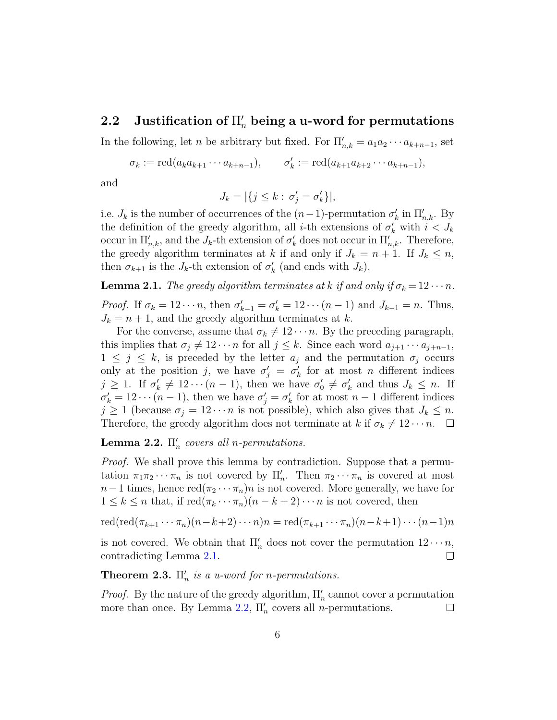# <span id="page-5-0"></span> ${\bf 2.2} \quad {\rm Justification~of}~\Pi_n'$  being a u-word for permutations

In the following, let *n* be arbitrary but fixed. For  $\Pi'_{n,k} = a_1 a_2 \cdots a_{k+n-1}$ , set

 $\sigma_k := \text{red}(a_k a_{k+1} \cdots a_{k+n-1}),$  $k' := \text{red}(a_{k+1}a_{k+2}\cdots a_{k+n-1}),$ 

and

$$
J_k = |\{j \le k : \sigma'_j = \sigma'_k\}|,
$$

i.e.  $J_k$  is the number of occurrences of the  $(n-1)$ -permutation  $\sigma'_k$  in  $\Pi'_{n,k}$ . By the definition of the greedy algorithm, all *i*-th extensions of  $\sigma'_k$  with  $i < J_k$ occur in  $\Pi_{n,k}'$ , and the  $J_k$ -th extension of  $\sigma'_k$  does not occur in  $\Pi_{n,k}'$ . Therefore, the greedy algorithm terminates at k if and only if  $J_k = n + 1$ . If  $J_k \leq n$ , then  $\sigma_{k+1}$  is the  $J_k$ -th extension of  $\sigma'_k$  (and ends with  $J_k$ ).

<span id="page-5-1"></span>**Lemma 2.1.** The greedy algorithm terminates at k if and only if  $\sigma_k = 12 \cdots n$ .

*Proof.* If  $\sigma_k = 12 \cdots n$ , then  $\sigma'_{k-1} = \sigma'_{k} = 12 \cdots (n-1)$  and  $J_{k-1} = n$ . Thus,  $J_k = n + 1$ , and the greedy algorithm terminates at k.

For the converse, assume that  $\sigma_k \neq 12 \cdots n$ . By the preceding paragraph, this implies that  $\sigma_j \neq 12 \cdots n$  for all  $j \leq k$ . Since each word  $a_{j+1} \cdots a_{j+n-1}$ ,  $1 \leq j \leq k$ , is preceded by the letter  $a_j$  and the permutation  $\sigma_j$  occurs only at the position j, we have  $\sigma'_j = \sigma'_k$  for at most n different indices  $j \geq 1$ . If  $\sigma'_k \neq 12 \cdots (n-1)$ , then we have  $\sigma'_0 \neq \sigma'_k$  and thus  $J_k \leq n$ . If  $\sigma'_k = 12 \cdots (n-1)$ , then we have  $\sigma'_j = \sigma'_k$  for at most  $n-1$  different indices  $j \geq 1$  (because  $\sigma_j = 12 \cdots n$  is not possible), which also gives that  $J_k \leq n$ . Therefore, the greedy algorithm does not terminate at k if  $\sigma_k \neq 12 \cdots n$ .  $\Box$ 

<span id="page-5-2"></span>**Lemma 2.2.**  $\Pi'_n$  covers all n-permutations.

Proof. We shall prove this lemma by contradiction. Suppose that a permutation  $\pi_1 \pi_2 \cdots \pi_n$  is not covered by  $\Pi'_n$ . Then  $\pi_2 \cdots \pi_n$  is covered at most  $n-1$  times, hence  $\text{red}(\pi_2 \cdots \pi_n)n$  is not covered. More generally, we have for  $1 \leq k \leq n$  that, if  $\text{red}(\pi_k \cdots \pi_n)(n-k+2) \cdots n$  is not covered, then

$$
\mathrm{red}(\mathrm{red}(\pi_{k+1}\cdots\pi_n)(n-k+2)\cdots n)n = \mathrm{red}(\pi_{k+1}\cdots\pi_n)(n-k+1)\cdots(n-1)n
$$

is not covered. We obtain that  $\Pi'_n$  does not cover the permutation  $12 \cdots n$ , contradicting Lemma [2.1.](#page-5-1)  $\Box$ 

<span id="page-5-3"></span>**Theorem 2.3.**  $\Pi'_n$  is a u-word for n-permutations.

*Proof.* By the nature of the greedy algorithm,  $\Pi'_n$  cannot cover a permutation more than once. By Lemma [2.2,](#page-5-2)  $\Pi'_n$  covers all *n*-permutations.  $\Box$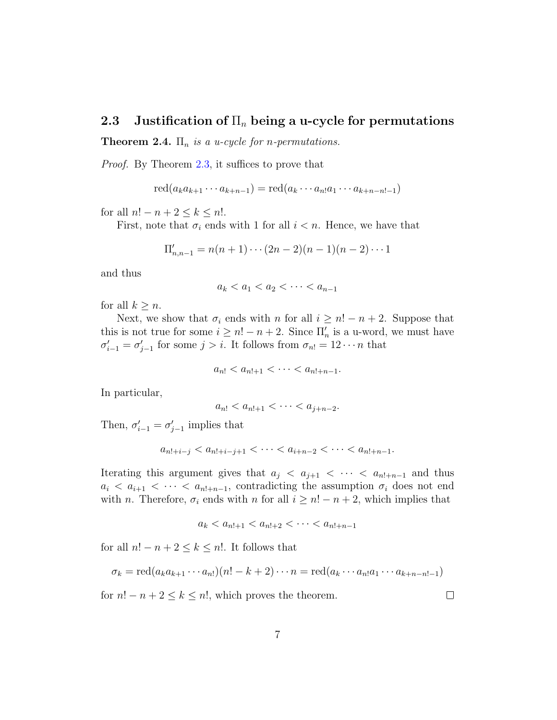#### <span id="page-6-0"></span>2.3 Justification of  $\Pi_n$  being a u-cycle for permutations

**Theorem 2.4.**  $\Pi_n$  is a u-cycle for *n*-permutations.

Proof. By Theorem [2.3,](#page-5-3) it suffices to prove that

$$
\mathrm{red}(a_k a_{k+1} \cdots a_{k+n-1}) = \mathrm{red}(a_k \cdots a_n a_1 \cdots a_{k+n-n-1})
$$

for all  $n! - n + 2 \leq k \leq n!$ .

First, note that  $\sigma_i$  ends with 1 for all  $i < n$ . Hence, we have that

$$
\Pi'_{n,n-1} = n(n+1)\cdots(2n-2)(n-1)(n-2)\cdots 1
$$

and thus

$$
a_k < a_1 < a_2 < \cdots < a_{n-1}
$$

for all  $k \geq n$ .

Next, we show that  $\sigma_i$  ends with n for all  $i \geq n! - n + 2$ . Suppose that this is not true for some  $i \geq n! - n + 2$ . Since  $\Pi'_n$  is a u-word, we must have  $\sigma'_{i-1} = \sigma'_{j-1}$  for some  $j > i$ . It follows from  $\sigma_{n!} = 12 \cdots n$  that

$$
a_{n!} < a_{n!+1} < \cdots < a_{n!+n-1}.
$$

In particular,

$$
a_{n!} < a_{n!+1} < \cdots < a_{j+n-2}.
$$

Then,  $\sigma'_{i-1} = \sigma'_{j-1}$  implies that

$$
a_{n!+i-j} < a_{n!+i-j+1} < \cdots < a_{i+n-2} < \cdots < a_{n!+n-1}.
$$

Iterating this argument gives that  $a_j < a_{j+1} < \cdots < a_{n!+n-1}$  and thus  $a_i < a_{i+1} < \cdots < a_{n+m-1}$ , contradicting the assumption  $\sigma_i$  does not end with n. Therefore,  $\sigma_i$  ends with n for all  $i \geq n! - n + 2$ , which implies that

$$
a_k < a_{n!+1} < a_{n!+2} < \cdots < a_{n!+n-1}
$$

for all  $n! - n + 2 \leq k \leq n!$ . It follows that

$$
\sigma_k = \text{red}(a_k a_{k+1} \cdots a_{n!})(n! - k + 2) \cdots n = \text{red}(a_k \cdots a_{n!} a_1 \cdots a_{k+n-n!-1})
$$

for  $n! - n + 2 \leq k \leq n!$ , which proves the theorem.

 $\Box$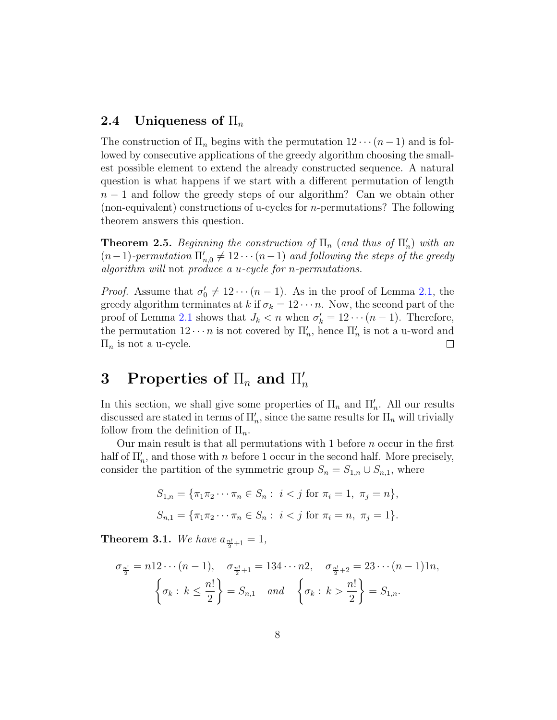#### <span id="page-7-0"></span>2.4 Uniqueness of  $\Pi_n$

The construction of  $\Pi_n$  begins with the permutation  $12 \cdots (n-1)$  and is followed by consecutive applications of the greedy algorithm choosing the smallest possible element to extend the already constructed sequence. A natural question is what happens if we start with a different permutation of length  $n-1$  and follow the greedy steps of our algorithm? Can we obtain other (non-equivalent) constructions of u-cycles for n-permutations? The following theorem answers this question.

**Theorem 2.5.** Beginning the construction of  $\Pi_n$  (and thus of  $\Pi'_n$ ) with an  $(n-1)$ -permutation  $\Pi'_{n,0} \neq 12 \cdots (n-1)$  and following the steps of the greedy algorithm will not produce a u-cycle for n-permutations.

*Proof.* Assume that  $\sigma'_0 \neq 12 \cdots (n-1)$ . As in the proof of Lemma [2.1,](#page-5-1) the greedy algorithm terminates at k if  $\sigma_k = 12 \cdots n$ . Now, the second part of the proof of Lemma [2.1](#page-5-1) shows that  $J_k < n$  when  $\sigma'_k = 12 \cdots (n-1)$ . Therefore, the permutation  $12 \cdots n$  is not covered by  $\Pi'_n$ , hence  $\Pi'_n$  is not a u-word and  $\Pi_n$  is not a u-cycle.  $\Box$ 

#### <span id="page-7-1"></span>3 Properties of  $\Pi_n$  and  $\Pi'_n$ n

In this section, we shall give some properties of  $\Pi_n$  and  $\Pi'_n$ . All our results discussed are stated in terms of  $\Pi_n'$ , since the same results for  $\Pi_n$  will trivially follow from the definition of  $\Pi_n$ .

Our main result is that all permutations with 1 before n occur in the first half of  $\Pi_n'$ , and those with n before 1 occur in the second half. More precisely, consider the partition of the symmetric group  $S_n = S_{1,n} \cup S_{n,1}$ , where

$$
S_{1,n} = \{\pi_1 \pi_2 \cdots \pi_n \in S_n : i < j \text{ for } \pi_i = 1, \pi_j = n\},\
$$
  

$$
S_{n,1} = \{\pi_1 \pi_2 \cdots \pi_n \in S_n : i < j \text{ for } \pi_i = n, \pi_j = 1\}.
$$

<span id="page-7-2"></span>**Theorem 3.1.** We have  $a_{\frac{n!}{2}+1} = 1$ ,

$$
\sigma_{\frac{n!}{2}} = n!2 \cdots (n-1), \quad \sigma_{\frac{n!}{2}+1} = 134 \cdots n2, \quad \sigma_{\frac{n!}{2}+2} = 23 \cdots (n-1)1n,
$$

$$
\left\{\sigma_k : k \le \frac{n!}{2}\right\} = S_{n,1} \quad and \quad \left\{\sigma_k : k > \frac{n!}{2}\right\} = S_{1,n}.
$$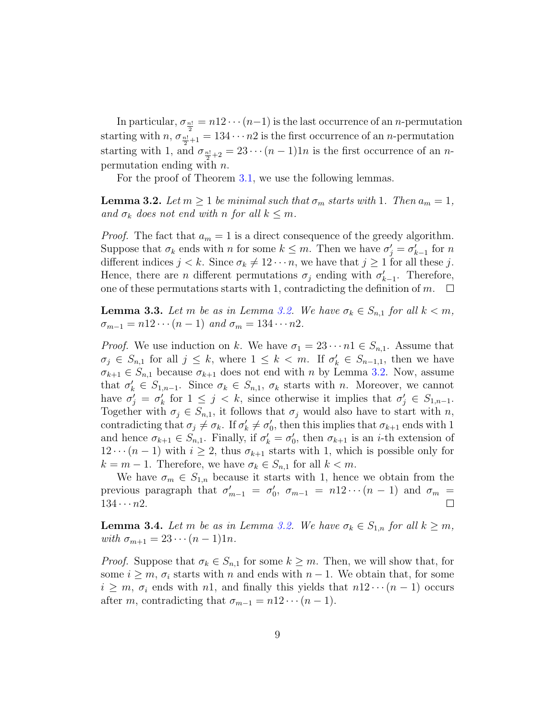In particular,  $\sigma_{\frac{n!}{2}} = n!2 \cdots (n-1)$  is the last occurrence of an *n*-permutation starting with  $n, \sigma_{\frac{n!}{2}+1} = 134 \cdots n2$  is the first occurrence of an *n*-permutation starting with 1, and  $\sigma_{\frac{n!}{2}+2} = 23 \cdots (n-1)1n$  is the first occurrence of an *n*permutation ending with  $n$ .

For the proof of Theorem [3.1,](#page-7-2) we use the following lemmas.

<span id="page-8-0"></span>**Lemma 3.2.** Let  $m \geq 1$  be minimal such that  $\sigma_m$  starts with 1. Then  $a_m = 1$ , and  $\sigma_k$  does not end with n for all  $k \leq m$ .

*Proof.* The fact that  $a_m = 1$  is a direct consequence of the greedy algorithm. Suppose that  $\sigma_k$  ends with n for some  $k \leq m$ . Then we have  $\sigma'_j = \sigma'_{k-1}$  for n different indices  $j < k$ . Since  $\sigma_k \neq 12 \cdots n$ , we have that  $j \geq 1$  for all these j. Hence, there are *n* different permutations  $\sigma_j$  ending with  $\sigma'_{k-1}$ . Therefore, one of these permutations starts with 1, contradicting the definition of m.  $\Box$ 

<span id="page-8-1"></span>**Lemma 3.3.** Let m be as in Lemma [3.2.](#page-8-0) We have  $\sigma_k \in S_{n,1}$  for all  $k < m$ ,  $\sigma_{m-1} = n12 \cdots (n-1)$  and  $\sigma_m = 134 \cdots n2$ .

*Proof.* We use induction on k. We have  $\sigma_1 = 23 \cdots n1 \in S_{n,1}$ . Assume that  $\sigma_j \in S_{n,1}$  for all  $j \leq k$ , where  $1 \leq k \leq m$ . If  $\sigma'_k \in S_{n-1,1}$ , then we have  $\sigma_{k+1} \in S_{n,1}$  because  $\sigma_{k+1}$  does not end with n by Lemma [3.2.](#page-8-0) Now, assume that  $\sigma'_k \in S_{1,n-1}$ . Since  $\sigma_k \in S_{n,1}$ ,  $\sigma_k$  starts with n. Moreover, we cannot have  $\sigma'_j = \sigma'_k$  for  $1 \leq j < k$ , since otherwise it implies that  $\sigma'_j \in S_{1,n-1}$ . Together with  $\sigma_j \in S_{n,1}$ , it follows that  $\sigma_j$  would also have to start with n, contradicting that  $\sigma_j \neq \sigma_k$ . If  $\sigma'_k \neq \sigma'_0$ , then this implies that  $\sigma_{k+1}$  ends with 1 and hence  $\sigma_{k+1} \in S_{n,1}$ . Finally, if  $\sigma'_{k} = \sigma'_{0}$ , then  $\sigma_{k+1}$  is an *i*-th extension of  $12 \cdots (n-1)$  with  $i \geq 2$ , thus  $\sigma_{k+1}$  starts with 1, which is possible only for  $k = m - 1$ . Therefore, we have  $\sigma_k \in S_{n,1}$  for all  $k < m$ .

We have  $\sigma_m \in S_{1,n}$  because it starts with 1, hence we obtain from the previous paragraph that  $\sigma'_{m-1} = \sigma'_{0}, \sigma_{m-1} = n12 \cdots (n-1)$  and  $\sigma_{m} =$  $134 \cdots n2$ .  $\Box$ 

<span id="page-8-2"></span>**Lemma 3.4.** Let m be as in Lemma [3.2.](#page-8-0) We have  $\sigma_k \in S_{1,n}$  for all  $k \geq m$ , with  $\sigma_{m+1} = 23 \cdots (n-1)1n$ .

*Proof.* Suppose that  $\sigma_k \in S_{n,1}$  for some  $k \geq m$ . Then, we will show that, for some  $i \geq m$ ,  $\sigma_i$  starts with n and ends with  $n-1$ . We obtain that, for some  $i \geq m$ ,  $\sigma_i$  ends with n1, and finally this yields that  $n12 \cdots (n-1)$  occurs after m, contradicting that  $\sigma_{m-1} = n!2 \cdots (n-1)$ .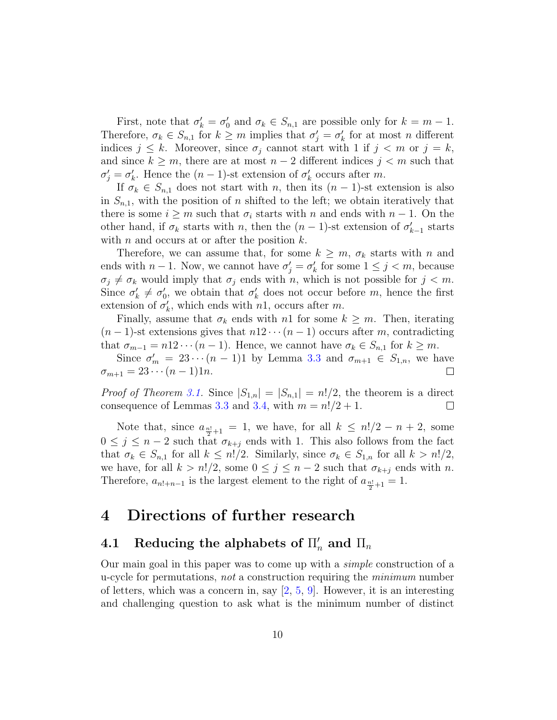First, note that  $\sigma'_k = \sigma'_0$  and  $\sigma_k \in S_{n,1}$  are possible only for  $k = m - 1$ . Therefore,  $\sigma_k \in S_{n,1}$  for  $k \geq m$  implies that  $\sigma'_j = \sigma'_k$  for at most n different indices  $j \leq k$ . Moreover, since  $\sigma_j$  cannot start with 1 if  $j < m$  or  $j = k$ , and since  $k \geq m$ , there are at most  $n-2$  different indices  $j < m$  such that  $\sigma'_{j} = \sigma'_{k}$ . Hence the  $(n-1)$ -st extension of  $\sigma'_{k}$  occurs after m.

If  $\sigma_k \in S_{n,1}$  does not start with n, then its  $(n-1)$ -st extension is also in  $S_{n,1}$ , with the position of n shifted to the left; we obtain iteratively that there is some  $i \geq m$  such that  $\sigma_i$  starts with n and ends with  $n-1$ . On the other hand, if  $\sigma_k$  starts with n, then the  $(n-1)$ -st extension of  $\sigma'_{k-1}$  starts with  $n$  and occurs at or after the position  $k$ .

Therefore, we can assume that, for some  $k \geq m$ ,  $\sigma_k$  starts with n and ends with  $n-1$ . Now, we cannot have  $\sigma'_j = \sigma'_k$  for some  $1 \leq j < m$ , because  $\sigma_j \neq \sigma_k$  would imply that  $\sigma_j$  ends with n, which is not possible for  $j < m$ . Since  $\sigma'_k \neq \sigma'_0$ , we obtain that  $\sigma'_k$  does not occur before m, hence the first extension of  $\sigma'_k$ , which ends with n1, occurs after m.

Finally, assume that  $\sigma_k$  ends with n1 for some  $k \geq m$ . Then, iterating  $(n-1)$ -st extensions gives that  $n!2\cdots(n-1)$  occurs after m, contradicting that  $\sigma_{m-1} = n!2 \cdots (n-1)$ . Hence, we cannot have  $\sigma_k \in S_{n,1}$  for  $k \geq m$ .

Since  $\sigma'_m = 23 \cdots (n-1)1$  by Lemma [3.3](#page-8-1) and  $\sigma_{m+1} \in S_{1,n}$ , we have  $\sigma_{m+1} = 23 \cdots (n-1)1n.$  $\Box$ 

*Proof of Theorem [3.1.](#page-7-2)* Since  $|S_{1,n}| = |S_{n,1}| = n!/2$ , the theorem is a direct consequence of Lemmas [3.3](#page-8-1) and [3.4,](#page-8-2) with  $m = n!/2 + 1$ .  $\Box$ 

Note that, since  $a_{\frac{n!}{2}+1} = 1$ , we have, for all  $k \leq n!/2 - n + 2$ , some  $0 \leq j \leq n-2$  such that  $\sigma_{k+j}$  ends with 1. This also follows from the fact that  $\sigma_k \in S_{n,1}$  for all  $k \leq n!/2$ . Similarly, since  $\sigma_k \in S_{1,n}$  for all  $k > n!/2$ , we have, for all  $k > n!/2$ , some  $0 \le j \le n-2$  such that  $\sigma_{k+j}$  ends with n. Therefore,  $a_{n!+n-1}$  is the largest element to the right of  $a_{\frac{n!}{2}+1} = 1$ .

## <span id="page-9-0"></span>4 Directions of further research

# <span id="page-9-1"></span> $\mathbf{4.1} \quad \mathbf{Reducing the alphabets \ of} \ \Pi_n' \ \mathbf{and} \ \Pi_n$

Our main goal in this paper was to come up with a simple construction of a u-cycle for permutations, not a construction requiring the minimum number of letters, which was a concern in, say  $[2, 5, 9]$  $[2, 5, 9]$  $[2, 5, 9]$  $[2, 5, 9]$  $[2, 5, 9]$ . However, it is an interesting and challenging question to ask what is the minimum number of distinct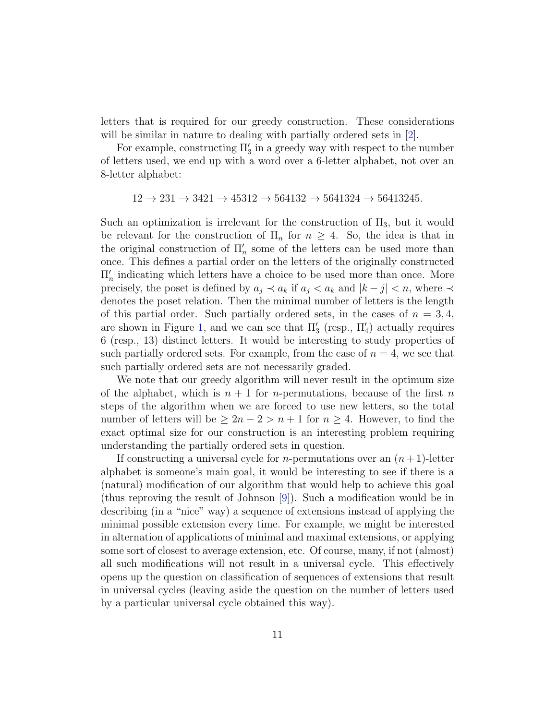letters that is required for our greedy construction. These considerations will be similar in nature to dealing with partially ordered sets in  $[2]$ .

For example, constructing  $\Pi_3'$  in a greedy way with respect to the number of letters used, we end up with a word over a 6-letter alphabet, not over an 8-letter alphabet:

$$
12 \rightarrow 231 \rightarrow 3421 \rightarrow 45312 \rightarrow 564132 \rightarrow 5641324 \rightarrow 56413245.
$$

Such an optimization is irrelevant for the construction of  $\Pi_3$ , but it would be relevant for the construction of  $\Pi_n$  for  $n \geq 4$ . So, the idea is that in the original construction of  $\Pi_n'$  some of the letters can be used more than once. This defines a partial order on the letters of the originally constructed  $\Pi_n'$  indicating which letters have a choice to be used more than once. More precisely, the poset is defined by  $a_j \prec a_k$  if  $a_j \prec a_k$  and  $|k - j| \prec n$ , where  $\prec$ denotes the poset relation. Then the minimal number of letters is the length of this partial order. Such partially ordered sets, in the cases of  $n = 3, 4$ , are shown in Figure [1,](#page-11-1) and we can see that  $\Pi'_{3}$  (resp.,  $\Pi'_{4}$ ) actually requires 6 (resp., 13) distinct letters. It would be interesting to study properties of such partially ordered sets. For example, from the case of  $n = 4$ , we see that such partially ordered sets are not necessarily graded.

We note that our greedy algorithm will never result in the optimum size of the alphabet, which is  $n + 1$  for *n*-permutations, because of the first *n* steps of the algorithm when we are forced to use new letters, so the total number of letters will be  $\geq 2n - 2 > n + 1$  for  $n \geq 4$ . However, to find the exact optimal size for our construction is an interesting problem requiring understanding the partially ordered sets in question.

If constructing a universal cycle for *n*-permutations over an  $(n+1)$ -letter alphabet is someone's main goal, it would be interesting to see if there is a (natural) modification of our algorithm that would help to achieve this goal (thus reproving the result of Johnson [\[9\]](#page-13-9)). Such a modification would be in describing (in a "nice" way) a sequence of extensions instead of applying the minimal possible extension every time. For example, we might be interested in alternation of applications of minimal and maximal extensions, or applying some sort of closest to average extension, etc. Of course, many, if not (almost) all such modifications will not result in a universal cycle. This effectively opens up the question on classification of sequences of extensions that result in universal cycles (leaving aside the question on the number of letters used by a particular universal cycle obtained this way).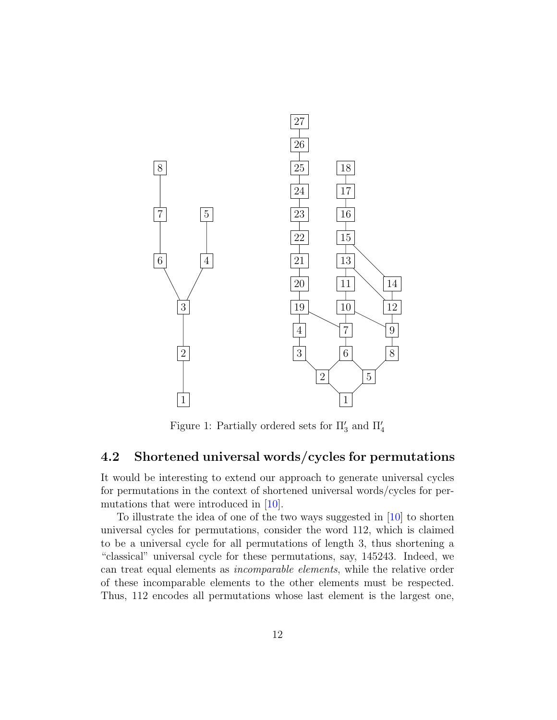

<span id="page-11-1"></span>Figure 1: Partially ordered sets for  $\Pi'_3$  and  $\Pi'_4$ 

### <span id="page-11-0"></span>4.2 Shortened universal words/cycles for permutations

It would be interesting to extend our approach to generate universal cycles for permutations in the context of shortened universal words/cycles for permutations that were introduced in [\[10\]](#page-13-11).

To illustrate the idea of one of the two ways suggested in [\[10\]](#page-13-11) to shorten universal cycles for permutations, consider the word 112, which is claimed to be a universal cycle for all permutations of length 3, thus shortening a "classical" universal cycle for these permutations, say, 145243. Indeed, we can treat equal elements as incomparable elements, while the relative order of these incomparable elements to the other elements must be respected. Thus, 112 encodes all permutations whose last element is the largest one,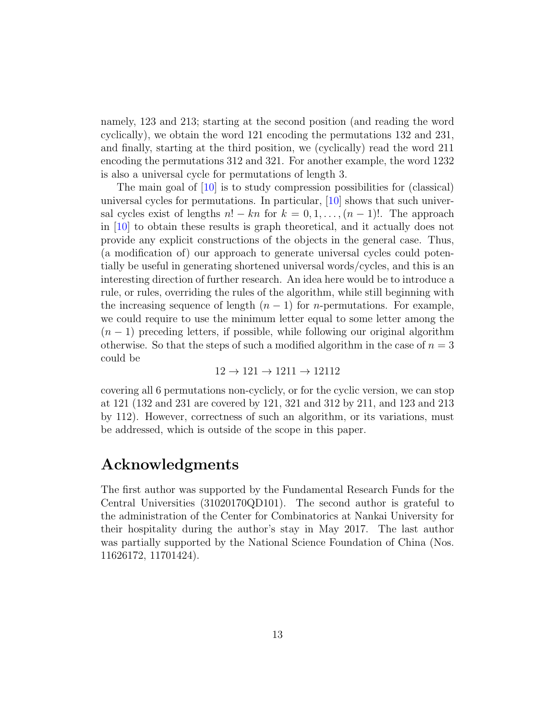namely, 123 and 213; starting at the second position (and reading the word cyclically), we obtain the word 121 encoding the permutations 132 and 231, and finally, starting at the third position, we (cyclically) read the word 211 encoding the permutations 312 and 321. For another example, the word 1232 is also a universal cycle for permutations of length 3.

The main goal of [\[10\]](#page-13-11) is to study compression possibilities for (classical) universal cycles for permutations. In particular, [\[10\]](#page-13-11) shows that such universal cycles exist of lengths  $n! - kn$  for  $k = 0, 1, ..., (n - 1)!$ . The approach in [\[10\]](#page-13-11) to obtain these results is graph theoretical, and it actually does not provide any explicit constructions of the objects in the general case. Thus, (a modification of) our approach to generate universal cycles could potentially be useful in generating shortened universal words/cycles, and this is an interesting direction of further research. An idea here would be to introduce a rule, or rules, overriding the rules of the algorithm, while still beginning with the increasing sequence of length  $(n - 1)$  for *n*-permutations. For example, we could require to use the minimum letter equal to some letter among the  $(n-1)$  preceding letters, if possible, while following our original algorithm otherwise. So that the steps of such a modified algorithm in the case of  $n = 3$ could be

$$
12 \rightarrow 121 \rightarrow 1211 \rightarrow 12112
$$

covering all 6 permutations non-cyclicly, or for the cyclic version, we can stop at 121 (132 and 231 are covered by 121, 321 and 312 by 211, and 123 and 213 by 112). However, correctness of such an algorithm, or its variations, must be addressed, which is outside of the scope in this paper.

## Acknowledgments

The first author was supported by the Fundamental Research Funds for the Central Universities (31020170QD101). The second author is grateful to the administration of the Center for Combinatorics at Nankai University for their hospitality during the author's stay in May 2017. The last author was partially supported by the National Science Foundation of China (Nos. 11626172, 11701424).